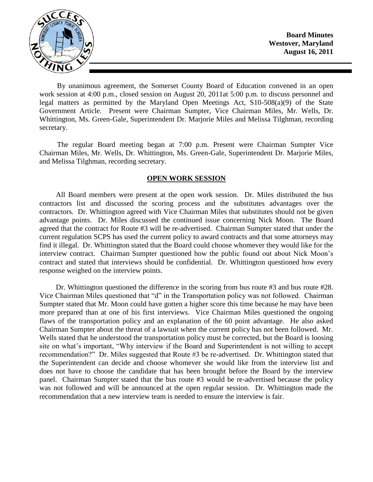

**Board Minutes Westover, Maryland August 16, 2011**

By unanimous agreement, the Somerset County Board of Education convened in an open work session at 4:00 p.m., closed session on August 20, 2011at 5:00 p.m. to discuss personnel and legal matters as permitted by the Maryland Open Meetings Act, S10-508(a)(9) of the State Government Article. Present were Chairman Sumpter, Vice Chairman Miles, Mr. Wells, Dr. Whittington, Ms. Green-Gale, Superintendent Dr. Marjorie Miles and Melissa Tilghman, recording secretary.

The regular Board meeting began at 7:00 p.m. Present were Chairman Sumpter Vice Chairman Miles, Mr. Wells, Dr. Whittington, Ms. Green-Gale, Superintendent Dr. Marjorie Miles, and Melissa Tilghman, recording secretary.

#### **OPEN WORK SESSION**

All Board members were present at the open work session. Dr. Miles distributed the bus contractors list and discussed the scoring process and the substitutes advantages over the contractors. Dr. Whittington agreed with Vice Chairman Miles that substitutes should not be given advantage points. Dr. Miles discussed the continued issue concerning Nick Moon. The Board agreed that the contract for Route #3 will be re-advertised. Chairman Sumpter stated that under the current regulation SCPS has used the current policy to award contracts and that some attorneys may find it illegal. Dr. Whittington stated that the Board could choose whomever they would like for the interview contract. Chairman Sumpter questioned how the public found out about Nick Moon's contract and stated that interviews should be confidential. Dr. Whittington questioned how every response weighed on the interview points.

Dr. Whittington questioned the difference in the scoring from bus route #3 and bus route #28. Vice Chairman Miles questioned that "d" in the Transportation policy was not followed. Chairman Sumpter stated that Mr. Moon could have gotten a higher score this time because he may have been more prepared than at one of his first interviews. Vice Chairman Miles questioned the ongoing flaws of the transportation policy and an explanation of the 60 point advantage. He also asked Chairman Sumpter about the threat of a lawsuit when the current policy has not been followed. Mr. Wells stated that he understood the transportation policy must be corrected, but the Board is loosing site on what's important, "Why interview if the Board and Superintendent is not willing to accept recommendation?" Dr. Miles suggested that Route #3 be re-advertised. Dr. Whittington stated that the Superintendent can decide and choose whomever she would like from the interview list and does not have to choose the candidate that has been brought before the Board by the interview panel. Chairman Sumpter stated that the bus route #3 would be re-advertised because the policy was not followed and will be announced at the open regular session. Dr. Whittington made the recommendation that a new interview team is needed to ensure the interview is fair.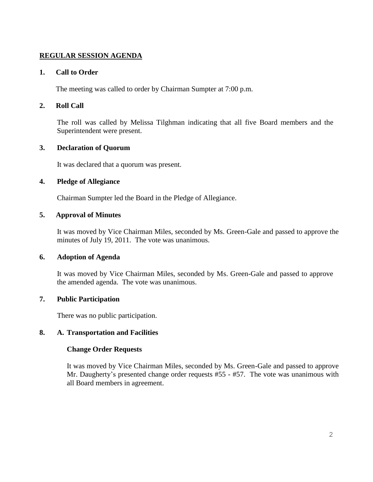# **REGULAR SESSION AGENDA**

### **1. Call to Order**

The meeting was called to order by Chairman Sumpter at 7:00 p.m.

## **2. Roll Call**

The roll was called by Melissa Tilghman indicating that all five Board members and the Superintendent were present.

# **3. Declaration of Quorum**

It was declared that a quorum was present.

### **4. Pledge of Allegiance**

Chairman Sumpter led the Board in the Pledge of Allegiance.

### **5. Approval of Minutes**

It was moved by Vice Chairman Miles, seconded by Ms. Green-Gale and passed to approve the minutes of July 19, 2011. The vote was unanimous.

### **6. Adoption of Agenda**

It was moved by Vice Chairman Miles, seconded by Ms. Green-Gale and passed to approve the amended agenda. The vote was unanimous.

# **7. Public Participation**

There was no public participation.

### **8. A. Transportation and Facilities**

### **Change Order Requests**

It was moved by Vice Chairman Miles, seconded by Ms. Green-Gale and passed to approve Mr. Daugherty's presented change order requests #55 - #57. The vote was unanimous with all Board members in agreement.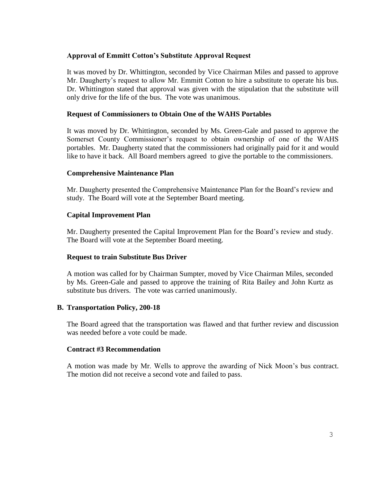### **Approval of Emmitt Cotton's Substitute Approval Request**

It was moved by Dr. Whittington, seconded by Vice Chairman Miles and passed to approve Mr. Daugherty's request to allow Mr. Emmitt Cotton to hire a substitute to operate his bus. Dr. Whittington stated that approval was given with the stipulation that the substitute will only drive for the life of the bus. The vote was unanimous.

### **Request of Commissioners to Obtain One of the WAHS Portables**

It was moved by Dr. Whittington, seconded by Ms. Green-Gale and passed to approve the Somerset County Commissioner's request to obtain ownership of one of the WAHS portables. Mr. Daugherty stated that the commissioners had originally paid for it and would like to have it back. All Board members agreed to give the portable to the commissioners.

### **Comprehensive Maintenance Plan**

Mr. Daugherty presented the Comprehensive Maintenance Plan for the Board's review and study. The Board will vote at the September Board meeting.

## **Capital Improvement Plan**

Mr. Daugherty presented the Capital Improvement Plan for the Board's review and study. The Board will vote at the September Board meeting.

### **Request to train Substitute Bus Driver**

A motion was called for by Chairman Sumpter, moved by Vice Chairman Miles, seconded by Ms. Green-Gale and passed to approve the training of Rita Bailey and John Kurtz as substitute bus drivers. The vote was carried unanimously.

### **B. Transportation Policy, 200-18**

The Board agreed that the transportation was flawed and that further review and discussion was needed before a vote could be made.

### **Contract #3 Recommendation**

A motion was made by Mr. Wells to approve the awarding of Nick Moon's bus contract. The motion did not receive a second vote and failed to pass.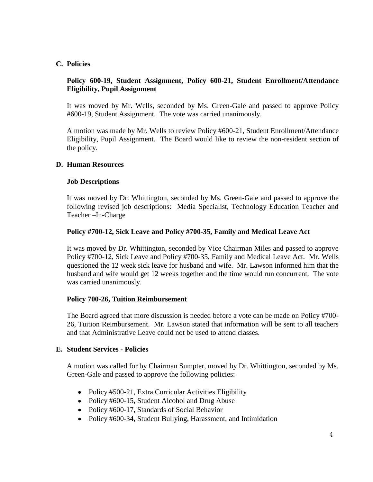## **C. Policies**

# **Policy 600-19, Student Assignment, Policy 600-21, Student Enrollment/Attendance Eligibility, Pupil Assignment**

It was moved by Mr. Wells, seconded by Ms. Green-Gale and passed to approve Policy #600-19, Student Assignment. The vote was carried unanimously.

A motion was made by Mr. Wells to review Policy #600-21, Student Enrollment/Attendance Eligibility, Pupil Assignment. The Board would like to review the non-resident section of the policy.

### **D. Human Resources**

### **Job Descriptions**

It was moved by Dr. Whittington, seconded by Ms. Green-Gale and passed to approve the following revised job descriptions: Media Specialist, Technology Education Teacher and Teacher –In-Charge

## **Policy #700-12, Sick Leave and Policy #700-35, Family and Medical Leave Act**

It was moved by Dr. Whittington, seconded by Vice Chairman Miles and passed to approve Policy #700-12, Sick Leave and Policy #700-35, Family and Medical Leave Act. Mr. Wells questioned the 12 week sick leave for husband and wife. Mr. Lawson informed him that the husband and wife would get 12 weeks together and the time would run concurrent. The vote was carried unanimously.

### **Policy 700-26, Tuition Reimbursement**

The Board agreed that more discussion is needed before a vote can be made on Policy #700- 26, Tuition Reimbursement. Mr. Lawson stated that information will be sent to all teachers and that Administrative Leave could not be used to attend classes.

### **E. Student Services - Policies**

A motion was called for by Chairman Sumpter, moved by Dr. Whittington, seconded by Ms. Green-Gale and passed to approve the following policies:

- Policy #500-21, Extra Curricular Activities Eligibility
- Policy #600-15, Student Alcohol and Drug Abuse
- Policy #600-17, Standards of Social Behavior
- Policy #600-34, Student Bullying, Harassment, and Intimidation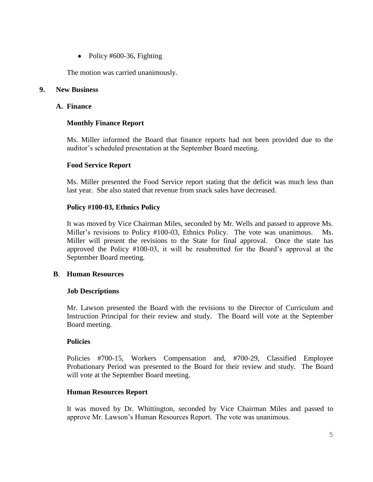• Policy  $#600-36$ , Fighting

The motion was carried unanimously.

#### **9. New Business**

#### **A. Finance**

## **Monthly Finance Report**

Ms. Miller informed the Board that finance reports had not been provided due to the auditor's scheduled presentation at the September Board meeting.

### **Food Service Report**

Ms. Miller presented the Food Service report stating that the deficit was much less than last year. She also stated that revenue from snack sales have decreased.

### **Policy #100-03, Ethnics Policy**

It was moved by Vice Chairman Miles, seconded by Mr. Wells and passed to approve Ms. Miller's revisions to Policy #100-03, Ethnics Policy. The vote was unanimous. Ms. Miller will present the revisions to the State for final approval. Once the state has approved the Policy #100-03, it will be resubmitted for the Board's approval at the September Board meeting.

### **B**. **Human Resources**

### **Job Descriptions**

Mr. Lawson presented the Board with the revisions to the Director of Curriculum and Instruction Principal for their review and study. The Board will vote at the September Board meeting.

#### **Policies**

Policies #700-15, Workers Compensation and, #700-29, Classified Employee Probationary Period was presented to the Board for their review and study. The Board will vote at the September Board meeting.

### **Human Resources Report**

It was moved by Dr. Whittington, seconded by Vice Chairman Miles and passed to approve Mr. Lawson's Human Resources Report. The vote was unanimous.